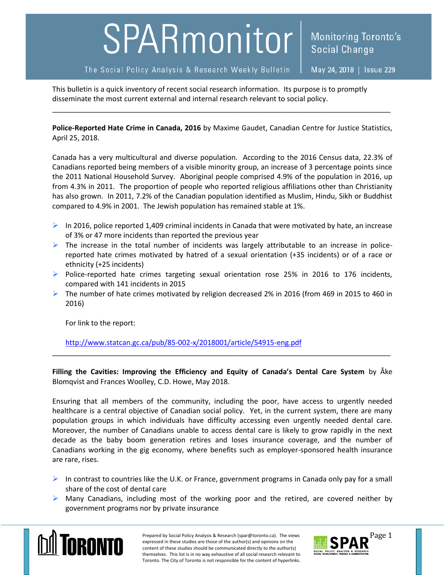## SPARmonitor

The Social Policy Analysis & Research Weekly Bulletin

May 24, 2018 | Issue 229

**Monitoring Toronto's** 

**Social Change** 

This bulletin is a quick inventory of recent social research information. Its purpose is to promptly disseminate the most current external and internal research relevant to social policy.

**Police-Reported Hate Crime in Canada, 2016** by Maxime Gaudet, Canadian Centre for Justice Statistics, April 25, 2018.

\_\_\_\_\_\_\_\_\_\_\_\_\_\_\_\_\_\_\_\_\_\_\_\_\_\_\_\_\_\_\_\_\_\_\_\_\_\_\_\_\_\_\_\_\_\_\_\_\_\_\_\_\_\_\_\_\_\_\_\_\_\_\_\_\_\_\_\_\_\_\_\_\_\_\_\_\_\_\_\_\_\_\_\_\_

Canada has a very multicultural and diverse population. According to the 2016 Census data, 22.3% of Canadians reported being members of a visible minority group, an increase of 3 percentage points since the 2011 National Household Survey. Aboriginal people comprised 4.9% of the population in 2016, up from 4.3% in 2011. The proportion of people who reported religious affiliations other than Christianity has also grown. In 2011, 7.2% of the Canadian population identified as Muslim, Hindu, Sikh or Buddhist compared to 4.9% in 2001. The Jewish population has remained stable at 1%.

- In 2016, police reported 1,409 criminal incidents in Canada that were motivated by hate, an increase of 3% or 47 more incidents than reported the previous year
- $\triangleright$  The increase in the total number of incidents was largely attributable to an increase in policereported hate crimes motivated by hatred of a sexual orientation (+35 incidents) or of a race or ethnicity (+25 incidents)
- $\triangleright$  Police-reported hate crimes targeting sexual orientation rose 25% in 2016 to 176 incidents, compared with 141 incidents in 2015
- $\triangleright$  The number of hate crimes motivated by religion decreased 2% in 2016 (from 469 in 2015 to 460 in 2016)

For link to the report:

<http://www.statcan.gc.ca/pub/85-002-x/2018001/article/54915-eng.pdf>

**Filling the Cavities: Improving the Efficiency and Equity of Canada's Dental Care System** by Åke Blomqvist and Frances Woolley, C.D. Howe, May 2018.

\_\_\_\_\_\_\_\_\_\_\_\_\_\_\_\_\_\_\_\_\_\_\_\_\_\_\_\_\_\_\_\_\_\_\_\_\_\_\_\_\_\_\_\_\_\_\_\_\_\_\_\_\_\_\_\_\_\_\_\_\_\_\_\_\_\_\_\_\_\_\_\_\_\_\_\_\_\_\_\_\_\_\_\_\_

Ensuring that all members of the community, including the poor, have access to urgently needed healthcare is a central objective of Canadian social policy. Yet, in the current system, there are many population groups in which individuals have difficulty accessing even urgently needed dental care. Moreover, the number of Canadians unable to access dental care is likely to grow rapidly in the next decade as the baby boom generation retires and loses insurance coverage, and the number of Canadians working in the gig economy, where benefits such as employer-sponsored health insurance are rare, rises.

- In contrast to countries like the U.K. or France, government programs in Canada only pay for a small share of the cost of dental care
- $\triangleright$  Many Canadians, including most of the working poor and the retired, are covered neither by government programs nor by private insurance



Prepared by Social Policy Analysis & Research (spar@toronto.ca). The views Page 1 expressed in these studies are those of the author(s) and opinions on the content of these studies should be communicated directly to the author(s) themselves. This list is in no way exhaustive of all social research relevant to Toronto. The City of Toronto is not responsible for the content of hyperlinks.

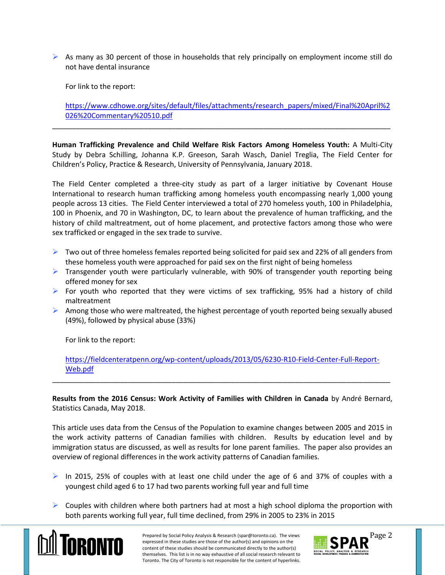$\triangleright$  As many as 30 percent of those in households that rely principally on employment income still do not have dental insurance

For link to the report:

[https://www.cdhowe.org/sites/default/files/attachments/research\\_papers/mixed/Final%20April%2](https://www.cdhowe.org/sites/default/files/attachments/research_papers/mixed/Final%20April%2026%20Commentary%20510.pdf) [026%20Commentary%20510.pdf](https://www.cdhowe.org/sites/default/files/attachments/research_papers/mixed/Final%20April%2026%20Commentary%20510.pdf)

**Human Trafficking Prevalence and Child Welfare Risk Factors Among Homeless Youth:** A Multi-City Study by Debra Schilling, Johanna K.P. Greeson, Sarah Wasch, Daniel Treglia, The Field Center for Children's Policy, Practice & Research, University of Pennsylvania, January 2018.

\_\_\_\_\_\_\_\_\_\_\_\_\_\_\_\_\_\_\_\_\_\_\_\_\_\_\_\_\_\_\_\_\_\_\_\_\_\_\_\_\_\_\_\_\_\_\_\_\_\_\_\_\_\_\_\_\_\_\_\_\_\_\_\_\_\_\_\_\_\_\_\_\_\_\_\_\_\_\_\_\_\_\_\_\_

The Field Center completed a three-city study as part of a larger initiative by Covenant House International to research human trafficking among homeless youth encompassing nearly 1,000 young people across 13 cities. The Field Center interviewed a total of 270 homeless youth, 100 in Philadelphia, 100 in Phoenix, and 70 in Washington, DC, to learn about the prevalence of human trafficking, and the history of child maltreatment, out of home placement, and protective factors among those who were sex trafficked or engaged in the sex trade to survive.

- $\triangleright$  Two out of three homeless females reported being solicited for paid sex and 22% of all genders from these homeless youth were approached for paid sex on the first night of being homeless
- $\triangleright$  Transgender youth were particularly vulnerable, with 90% of transgender youth reporting being offered money for sex
- $\triangleright$  For youth who reported that they were victims of sex trafficking, 95% had a history of child maltreatment
- $\triangleright$  Among those who were maltreated, the highest percentage of youth reported being sexually abused (49%), followed by physical abuse (33%)

For link to the report:

[https://fieldcenteratpenn.org/wp-content/uploads/2013/05/6230-R10-Field-Center-Full-Report-](https://fieldcenteratpenn.org/wp-content/uploads/2013/05/6230-R10-Field-Center-Full-Report-Web.pdf)[Web.pdf](https://fieldcenteratpenn.org/wp-content/uploads/2013/05/6230-R10-Field-Center-Full-Report-Web.pdf)

\_\_\_\_\_\_\_\_\_\_\_\_\_\_\_\_\_\_\_\_\_\_\_\_\_\_\_\_\_\_\_\_\_\_\_\_\_\_\_\_\_\_\_\_\_\_\_\_\_\_\_\_\_\_\_\_\_\_\_\_\_\_\_\_\_\_\_\_\_\_\_\_\_\_\_\_\_\_\_\_\_\_\_\_\_

**Results from the 2016 Census: Work Activity of Families with Children in Canada** by André Bernard, Statistics Canada, May 2018.

This article uses data from the Census of the Population to examine changes between 2005 and 2015 in the work activity patterns of Canadian families with children. Results by education level and by immigration status are discussed, as well as results for lone parent families. The paper also provides an overview of regional differences in the work activity patterns of Canadian families.

- In 2015, 25% of couples with at least one child under the age of 6 and 37% of couples with a youngest child aged 6 to 17 had two parents working full year and full time
- $\triangleright$  Couples with children where both partners had at most a high school diploma the proportion with both parents working full year, full time declined, from 29% in 2005 to 23% in 2015